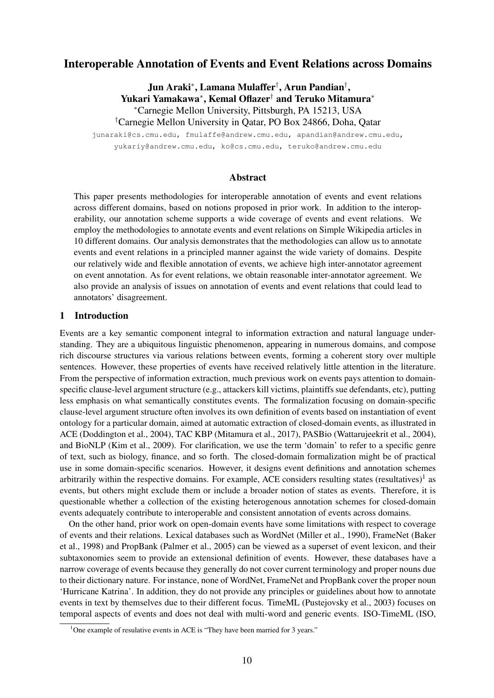# Interoperable Annotation of Events and Event Relations across Domains

Jun Araki\*, Lamana Mulaffer†, Arun Pandian†, Yukari Yamakawa\*, Kemal Oflazer<sup>†</sup> and Teruko Mitamura<sup>\*</sup> ⇤Carnegie Mellon University, Pittsburgh, PA 15213, USA

† Carnegie Mellon University in Qatar, PO Box 24866, Doha, Qatar

junaraki@cs.cmu.edu, fmulaffe@andrew.cmu.edu, apandian@andrew.cmu.edu, yukariy@andrew.cmu.edu, ko@cs.cmu.edu, teruko@andrew.cmu.edu

## Abstract

This paper presents methodologies for interoperable annotation of events and event relations across different domains, based on notions proposed in prior work. In addition to the interoperability, our annotation scheme supports a wide coverage of events and event relations. We employ the methodologies to annotate events and event relations on Simple Wikipedia articles in 10 different domains. Our analysis demonstrates that the methodologies can allow us to annotate events and event relations in a principled manner against the wide variety of domains. Despite our relatively wide and flexible annotation of events, we achieve high inter-annotator agreement on event annotation. As for event relations, we obtain reasonable inter-annotator agreement. We also provide an analysis of issues on annotation of events and event relations that could lead to annotators' disagreement.

### 1 Introduction

Events are a key semantic component integral to information extraction and natural language understanding. They are a ubiquitous linguistic phenomenon, appearing in numerous domains, and compose rich discourse structures via various relations between events, forming a coherent story over multiple sentences. However, these properties of events have received relatively little attention in the literature. From the perspective of information extraction, much previous work on events pays attention to domainspecific clause-level argument structure (e.g., attackers kill victims, plaintiffs sue defendants, etc), putting less emphasis on what semantically constitutes events. The formalization focusing on domain-specific clause-level argument structure often involves its own definition of events based on instantiation of event ontology for a particular domain, aimed at automatic extraction of closed-domain events, as illustrated in ACE (Doddington et al., 2004), TAC KBP (Mitamura et al., 2017), PASBio (Wattarujeekrit et al., 2004), and BioNLP (Kim et al., 2009). For clarification, we use the term 'domain' to refer to a specific genre of text, such as biology, finance, and so forth. The closed-domain formalization might be of practical use in some domain-specific scenarios. However, it designs event definitions and annotation schemes arbitrarily within the respective domains. For example, ACE considers resulting states (resultatives)<sup>1</sup> as events, but others might exclude them or include a broader notion of states as events. Therefore, it is questionable whether a collection of the existing heterogenous annotation schemes for closed-domain events adequately contribute to interoperable and consistent annotation of events across domains.

On the other hand, prior work on open-domain events have some limitations with respect to coverage of events and their relations. Lexical databases such as WordNet (Miller et al., 1990), FrameNet (Baker et al., 1998) and PropBank (Palmer et al., 2005) can be viewed as a superset of event lexicon, and their subtaxonomies seem to provide an extensional definition of events. However, these databases have a narrow coverage of events because they generally do not cover current terminology and proper nouns due to their dictionary nature. For instance, none of WordNet, FrameNet and PropBank cover the proper noun 'Hurricane Katrina'. In addition, they do not provide any principles or guidelines about how to annotate events in text by themselves due to their different focus. TimeML (Pustejovsky et al., 2003) focuses on temporal aspects of events and does not deal with multi-word and generic events. ISO-TimeML (ISO,

<sup>&</sup>lt;sup>1</sup>One example of resulative events in ACE is "They have been married for 3 years."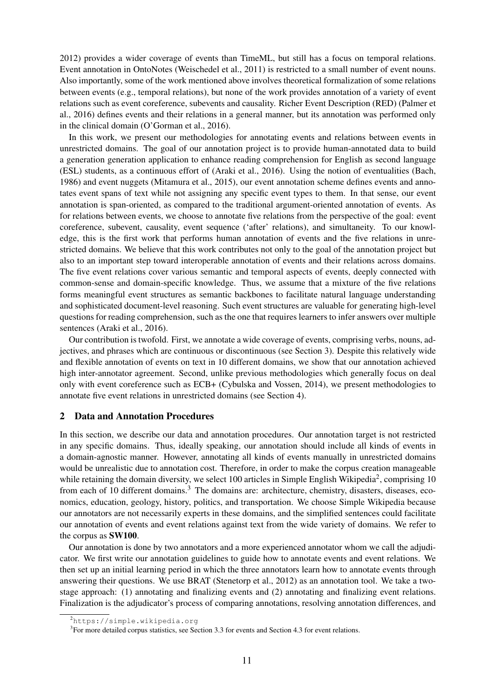2012) provides a wider coverage of events than TimeML, but still has a focus on temporal relations. Event annotation in OntoNotes (Weischedel et al., 2011) is restricted to a small number of event nouns. Also importantly, some of the work mentioned above involves theoretical formalization of some relations between events (e.g., temporal relations), but none of the work provides annotation of a variety of event relations such as event coreference, subevents and causality. Richer Event Description (RED) (Palmer et al., 2016) defines events and their relations in a general manner, but its annotation was performed only in the clinical domain (O'Gorman et al., 2016).

In this work, we present our methodologies for annotating events and relations between events in unrestricted domains. The goal of our annotation project is to provide human-annotated data to build a generation generation application to enhance reading comprehension for English as second language (ESL) students, as a continuous effort of (Araki et al., 2016). Using the notion of eventualities (Bach, 1986) and event nuggets (Mitamura et al., 2015), our event annotation scheme defines events and annotates event spans of text while not assigning any specific event types to them. In that sense, our event annotation is span-oriented, as compared to the traditional argument-oriented annotation of events. As for relations between events, we choose to annotate five relations from the perspective of the goal: event coreference, subevent, causality, event sequence ('after' relations), and simultaneity. To our knowledge, this is the first work that performs human annotation of events and the five relations in unrestricted domains. We believe that this work contributes not only to the goal of the annotation project but also to an important step toward interoperable annotation of events and their relations across domains. The five event relations cover various semantic and temporal aspects of events, deeply connected with common-sense and domain-specific knowledge. Thus, we assume that a mixture of the five relations forms meaningful event structures as semantic backbones to facilitate natural language understanding and sophisticated document-level reasoning. Such event structures are valuable for generating high-level questions for reading comprehension, such as the one that requires learners to infer answers over multiple sentences (Araki et al., 2016).

Our contribution is twofold. First, we annotate a wide coverage of events, comprising verbs, nouns, adjectives, and phrases which are continuous or discontinuous (see Section 3). Despite this relatively wide and flexible annotation of events on text in 10 different domains, we show that our annotation achieved high inter-annotator agreement. Second, unlike previous methodologies which generally focus on deal only with event coreference such as ECB+ (Cybulska and Vossen, 2014), we present methodologies to annotate five event relations in unrestricted domains (see Section 4).

#### 2 Data and Annotation Procedures

In this section, we describe our data and annotation procedures. Our annotation target is not restricted in any specific domains. Thus, ideally speaking, our annotation should include all kinds of events in a domain-agnostic manner. However, annotating all kinds of events manually in unrestricted domains would be unrealistic due to annotation cost. Therefore, in order to make the corpus creation manageable while retaining the domain diversity, we select 100 articles in Simple English Wikipedia<sup>2</sup>, comprising 10 from each of 10 different domains.<sup>3</sup> The domains are: architecture, chemistry, disasters, diseases, economics, education, geology, history, politics, and transportation. We choose Simple Wikipedia because our annotators are not necessarily experts in these domains, and the simplified sentences could facilitate our annotation of events and event relations against text from the wide variety of domains. We refer to the corpus as SW100.

Our annotation is done by two annotators and a more experienced annotator whom we call the adjudicator. We first write our annotation guidelines to guide how to annotate events and event relations. We then set up an initial learning period in which the three annotators learn how to annotate events through answering their questions. We use BRAT (Stenetorp et al., 2012) as an annotation tool. We take a twostage approach: (1) annotating and finalizing events and (2) annotating and finalizing event relations. Finalization is the adjudicator's process of comparing annotations, resolving annotation differences, and

<sup>2</sup> https://simple.wikipedia.org

<sup>&</sup>lt;sup>3</sup>For more detailed corpus statistics, see Section 3.3 for events and Section 4.3 for event relations.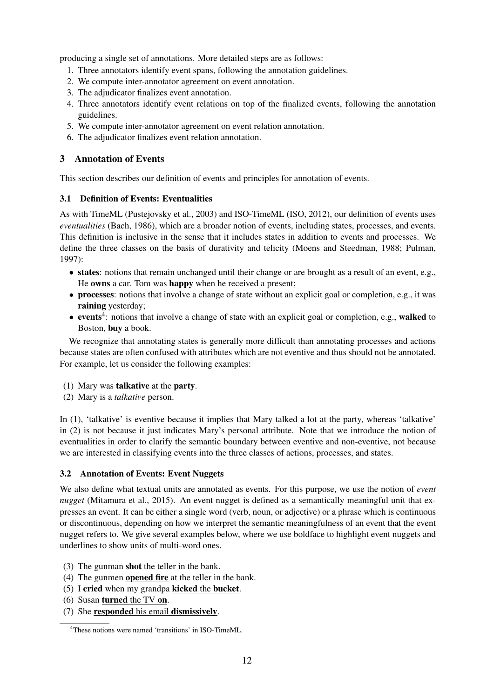producing a single set of annotations. More detailed steps are as follows:

- 1. Three annotators identify event spans, following the annotation guidelines.
- 2. We compute inter-annotator agreement on event annotation.
- 3. The adjudicator finalizes event annotation.
- 4. Three annotators identify event relations on top of the finalized events, following the annotation guidelines.
- 5. We compute inter-annotator agreement on event relation annotation.
- 6. The adjudicator finalizes event relation annotation.

# 3 Annotation of Events

This section describes our definition of events and principles for annotation of events.

## 3.1 Definition of Events: Eventualities

As with TimeML (Pustejovsky et al., 2003) and ISO-TimeML (ISO, 2012), our definition of events uses *eventualities* (Bach, 1986), which are a broader notion of events, including states, processes, and events. This definition is inclusive in the sense that it includes states in addition to events and processes. We define the three classes on the basis of durativity and telicity (Moens and Steedman, 1988; Pulman, 1997):

- states: notions that remain unchanged until their change or are brought as a result of an event, e.g., He owns a car. Tom was happy when he received a present;
- processes: notions that involve a change of state without an explicit goal or completion, e.g., it was raining yesterday;
- events<sup>4</sup>: notions that involve a change of state with an explicit goal or completion, e.g., walked to Boston, buy a book.

We recognize that annotating states is generally more difficult than annotating processes and actions because states are often confused with attributes which are not eventive and thus should not be annotated. For example, let us consider the following examples:

- (1) Mary was talkative at the party.
- (2) Mary is a *talkative* person.

In (1), 'talkative' is eventive because it implies that Mary talked a lot at the party, whereas 'talkative' in (2) is not because it just indicates Mary's personal attribute. Note that we introduce the notion of eventualities in order to clarify the semantic boundary between eventive and non-eventive, not because we are interested in classifying events into the three classes of actions, processes, and states.

## 3.2 Annotation of Events: Event Nuggets

We also define what textual units are annotated as events. For this purpose, we use the notion of *event nugget* (Mitamura et al., 2015). An event nugget is defined as a semantically meaningful unit that expresses an event. It can be either a single word (verb, noun, or adjective) or a phrase which is continuous or discontinuous, depending on how we interpret the semantic meaningfulness of an event that the event nugget refers to. We give several examples below, where we use boldface to highlight event nuggets and underlines to show units of multi-word ones.

- (3) The gunman shot the teller in the bank.
- (4) The gunmen opened fire at the teller in the bank.
- (5) I cried when my grandpa kicked the bucket.
- (6) Susan turned the TV on.
- (7) She responded his email dismissively.

<sup>4</sup> These notions were named 'transitions' in ISO-TimeML.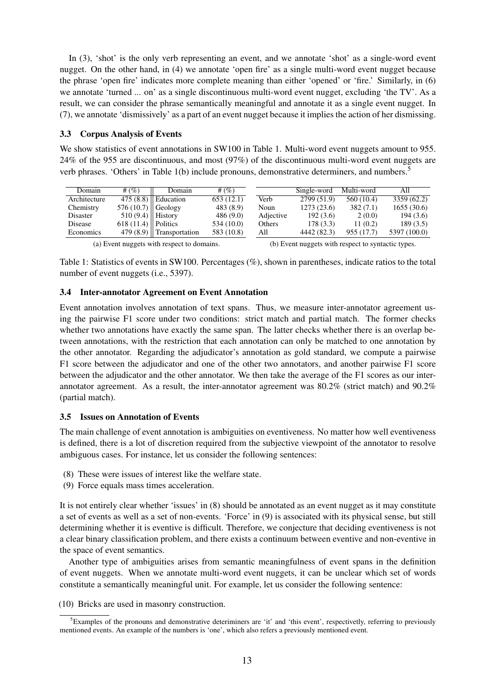In (3), 'shot' is the only verb representing an event, and we annotate 'shot' as a single-word event nugget. On the other hand, in (4) we annotate 'open fire' as a single multi-word event nugget because the phrase 'open fire' indicates more complete meaning than either 'opened' or 'fire.' Similarly, in (6) we annotate 'turned ... on' as a single discontinuous multi-word event nugget, excluding 'the TV'. As a result, we can consider the phrase semantically meaningful and annotate it as a single event nugget. In (7), we annotate 'dismissively' as a part of an event nugget because it implies the action of her dismissing.

### 3.3 Corpus Analysis of Events

We show statistics of event annotations in SW100 in Table 1. Multi-word event nuggets amount to 955. 24% of the 955 are discontinuous, and most (97%) of the discontinuous multi-word event nuggets are verb phrases. 'Others' in Table 1(b) include pronouns, demonstrative determiners, and numbers.5

| Domain       | # $(% )$  | Domain                                     | # $(\%)$   |                                                    | Single-word | Multi-word | All          |  |
|--------------|-----------|--------------------------------------------|------------|----------------------------------------------------|-------------|------------|--------------|--|
| Architecture | 475(8.8)  | Education                                  | 653(12.1)  | Verb                                               | 2799 (51.9) | 560 (10.4) | 3359(62.2)   |  |
| Chemistry    | 576(10.7) | Geology                                    | 483 (8.9)  | Noun                                               | 1273(23.6)  | 382(7.1)   | 1655(30.6)   |  |
| Disaster     | 510 (9.4) | <b>History</b>                             | 486(9.0)   | Adjective                                          | 192(3.6)    | 2(0.0)     | 194(3.6)     |  |
| Disease      | 618(11.4) | Politics                                   | 534 (10.0) | Others                                             | 178(3.3)    | 11(0.2)    | 189(3.5)     |  |
| Economics    | 479(8.9)  | Transportation                             | 583 (10.8) | All                                                | 4442 (82.3) | 955 (17.7) | 5397 (100.0) |  |
|              |           | (a) Event nuggets with respect to domains. |            | (b) Event nuggets with respect to syntactic types. |             |            |              |  |

Table 1: Statistics of events in SW100. Percentages (%), shown in parentheses, indicate ratios to the total number of event nuggets (i.e., 5397).

### 3.4 Inter-annotator Agreement on Event Annotation

Event annotation involves annotation of text spans. Thus, we measure inter-annotator agreement using the pairwise F1 score under two conditions: strict match and partial match. The former checks whether two annotations have exactly the same span. The latter checks whether there is an overlap between annotations, with the restriction that each annotation can only be matched to one annotation by the other annotator. Regarding the adjudicator's annotation as gold standard, we compute a pairwise F1 score between the adjudicator and one of the other two annotators, and another pairwise F1 score between the adjudicator and the other annotator. We then take the average of the F1 scores as our interannotator agreement. As a result, the inter-annotator agreement was 80.2% (strict match) and 90.2% (partial match).

#### 3.5 Issues on Annotation of Events

The main challenge of event annotation is ambiguities on eventiveness. No matter how well eventiveness is defined, there is a lot of discretion required from the subjective viewpoint of the annotator to resolve ambiguous cases. For instance, let us consider the following sentences:

- (8) These were issues of interest like the welfare state.
- (9) Force equals mass times acceleration.

It is not entirely clear whether 'issues' in (8) should be annotated as an event nugget as it may constitute a set of events as well as a set of non-events. 'Force' in (9) is associated with its physical sense, but still determining whether it is eventive is difficult. Therefore, we conjecture that deciding eventiveness is not a clear binary classification problem, and there exists a continuum between eventive and non-eventive in the space of event semantics.

Another type of ambiguities arises from semantic meaningfulness of event spans in the definition of event nuggets. When we annotate multi-word event nuggets, it can be unclear which set of words constitute a semantically meaningful unit. For example, let us consider the following sentence:

(10) Bricks are used in masonry construction.

<sup>&</sup>lt;sup>5</sup> Examples of the pronouns and demonstrative deteriminers are 'it' and 'this event', respectivetly, referring to previously mentioned events. An example of the numbers is 'one', which also refers a previously mentioned event.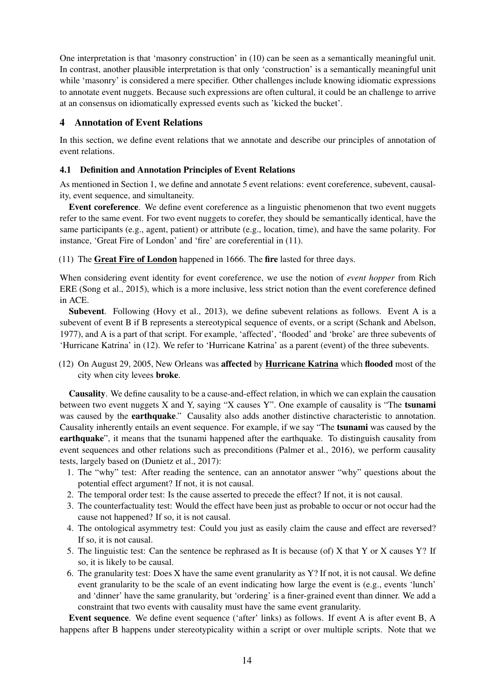One interpretation is that 'masonry construction' in (10) can be seen as a semantically meaningful unit. In contrast, another plausible interpretation is that only 'construction' is a semantically meaningful unit while 'masonry' is considered a mere specifier. Other challenges include knowing idiomatic expressions to annotate event nuggets. Because such expressions are often cultural, it could be an challenge to arrive at an consensus on idiomatically expressed events such as 'kicked the bucket'.

# 4 Annotation of Event Relations

In this section, we define event relations that we annotate and describe our principles of annotation of event relations.

## 4.1 Definition and Annotation Principles of Event Relations

As mentioned in Section 1, we define and annotate 5 event relations: event coreference, subevent, causality, event sequence, and simultaneity.

Event coreference. We define event coreference as a linguistic phenomenon that two event nuggets refer to the same event. For two event nuggets to corefer, they should be semantically identical, have the same participants (e.g., agent, patient) or attribute (e.g., location, time), and have the same polarity. For instance, 'Great Fire of London' and 'fire' are coreferential in (11).

(11) The Great Fire of London happened in 1666. The fire lasted for three days.

When considering event identity for event coreference, we use the notion of *event hopper* from Rich ERE (Song et al., 2015), which is a more inclusive, less strict notion than the event coreference defined in ACE.

Subevent. Following (Hovy et al., 2013), we define subevent relations as follows. Event A is a subevent of event B if B represents a stereotypical sequence of events, or a script (Schank and Abelson, 1977), and A is a part of that script. For example, 'affected', 'flooded' and 'broke' are three subevents of 'Hurricane Katrina' in (12). We refer to 'Hurricane Katrina' as a parent (event) of the three subevents.

(12) On August 29, 2005, New Orleans was affected by Hurricane Katrina which flooded most of the city when city levees broke.

Causality. We define causality to be a cause-and-effect relation, in which we can explain the causation between two event nuggets X and Y, saying "X causes Y". One example of causality is "The tsunami was caused by the **earthquake**." Causality also adds another distinctive characteristic to annotation. Causality inherently entails an event sequence. For example, if we say "The tsunami was caused by the earthquake", it means that the tsunami happened after the earthquake. To distinguish causality from event sequences and other relations such as preconditions (Palmer et al., 2016), we perform causality tests, largely based on (Dunietz et al., 2017):

- 1. The "why" test: After reading the sentence, can an annotator answer "why" questions about the potential effect argument? If not, it is not causal.
- 2. The temporal order test: Is the cause asserted to precede the effect? If not, it is not causal.
- 3. The counterfactuality test: Would the effect have been just as probable to occur or not occur had the cause not happened? If so, it is not causal.
- 4. The ontological asymmetry test: Could you just as easily claim the cause and effect are reversed? If so, it is not causal.
- 5. The linguistic test: Can the sentence be rephrased as It is because (of) X that Y or X causes Y? If so, it is likely to be causal.
- 6. The granularity test: Does X have the same event granularity as Y? If not, it is not causal. We define event granularity to be the scale of an event indicating how large the event is (e.g., events 'lunch' and 'dinner' have the same granularity, but 'ordering' is a finer-grained event than dinner. We add a constraint that two events with causality must have the same event granularity.

Event sequence. We define event sequence ('after' links) as follows. If event A is after event B, A happens after B happens under stereotypicality within a script or over multiple scripts. Note that we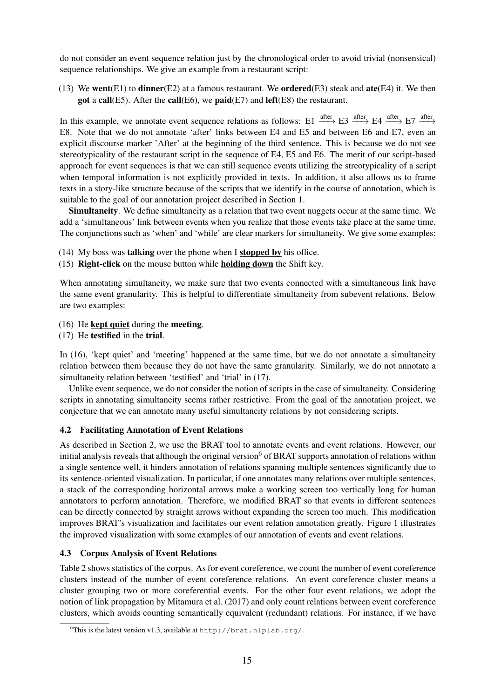do not consider an event sequence relation just by the chronological order to avoid trivial (nonsensical) sequence relationships. We give an example from a restaurant script:

(13) We went(E1) to dinner(E2) at a famous restaurant. We ordered(E3) steak and ate(E4) it. We then got a call(E5). After the call(E6), we paid(E7) and left(E8) the restaurant.

In this example, we annotate event sequence relations as follows: E1  $\frac{\text{after}}{\text{after}}$  E3  $\frac{\text{after}}{\text{after}}$  E4  $\frac{\text{after}}{\text{after}}$  E7  $\frac{\text{after}}{\text{after}}$ E8. Note that we do not annotate 'after' links between E4 and E5 and between E6 and E7, even an explicit discourse marker 'After' at the beginning of the third sentence. This is because we do not see stereotypicality of the restaurant script in the sequence of E4, E5 and E6. The merit of our script-based approach for event sequences is that we can still sequence events utilizing the streotypicality of a script when temporal information is not explicitly provided in texts. In addition, it also allows us to frame texts in a story-like structure because of the scripts that we identify in the course of annotation, which is suitable to the goal of our annotation project described in Section 1.

Simultaneity. We define simultaneity as a relation that two event nuggets occur at the same time. We add a 'simultaneous' link between events when you realize that those events take place at the same time. The conjunctions such as 'when' and 'while' are clear markers for simultaneity. We give some examples:

- (14) My boss was talking over the phone when I stopped by his office.
- (15) Right-click on the mouse button while holding down the Shift key.

When annotating simultaneity, we make sure that two events connected with a simultaneous link have the same event granularity. This is helpful to differentiate simultaneity from subevent relations. Below are two examples:

- (16) He kept quiet during the meeting.
- (17) He testified in the trial.

In (16), 'kept quiet' and 'meeting' happened at the same time, but we do not annotate a simultaneity relation between them because they do not have the same granularity. Similarly, we do not annotate a simultaneity relation between 'testified' and 'trial' in (17).

Unlike event sequence, we do not consider the notion of scripts in the case of simultaneity. Considering scripts in annotating simultaneity seems rather restrictive. From the goal of the annotation project, we conjecture that we can annotate many useful simultaneity relations by not considering scripts.

## 4.2 Facilitating Annotation of Event Relations

As described in Section 2, we use the BRAT tool to annotate events and event relations. However, our initial analysis reveals that although the original version<sup>6</sup> of BRAT supports annotation of relations within a single sentence well, it hinders annotation of relations spanning multiple sentences significantly due to its sentence-oriented visualization. In particular, if one annotates many relations over multiple sentences, a stack of the corresponding horizontal arrows make a working screen too vertically long for human annotators to perform annotation. Therefore, we modified BRAT so that events in different sentences can be directly connected by straight arrows without expanding the screen too much. This modification improves BRAT's visualization and facilitates our event relation annotation greatly. Figure 1 illustrates the improved visualization with some examples of our annotation of events and event relations.

## 4.3 Corpus Analysis of Event Relations

Table 2 shows statistics of the corpus. As for event coreference, we count the number of event coreference clusters instead of the number of event coreference relations. An event coreference cluster means a cluster grouping two or more coreferential events. For the other four event relations, we adopt the notion of link propagation by Mitamura et al. (2017) and only count relations between event coreference clusters, which avoids counting semantically equivalent (redundant) relations. For instance, if we have

<sup>&</sup>lt;sup>6</sup>This is the latest version v1.3, available at http://brat.nlplab.org/.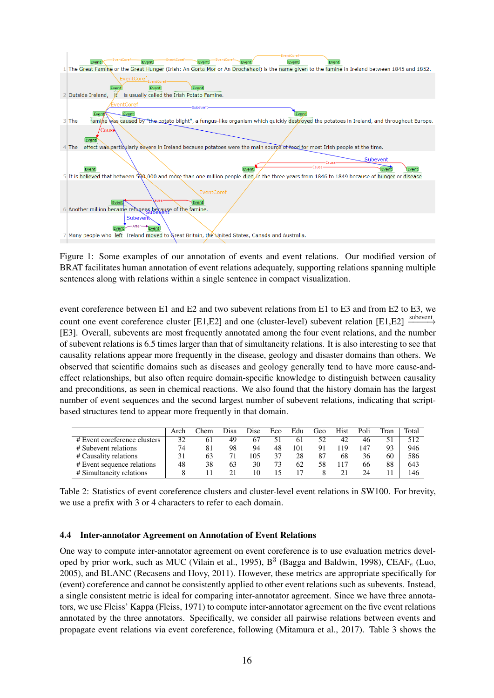

Figure 1: Some examples of our annotation of events and event relations. Our modified version of BRAT facilitates human annotation of event relations adequately, supporting relations spanning multiple sentences along with relations within a single sentence in compact visualization.

event coreference between E1 and E2 and two subevent relations from E1 to E3 and from E2 to E3, we count one event coreference cluster [E1,E2] and one (cluster-level) subevent relation [E1,E2]  $\xrightarrow{\text{subevent}}$ [E3]. Overall, subevents are most frequently annotated among the four event relations, and the number of subevent relations is 6.5 times larger than that of simultaneity relations. It is also interesting to see that causality relations appear more frequently in the disease, geology and disaster domains than others. We observed that scientific domains such as diseases and geology generally tend to have more cause-andeffect relationships, but also often require domain-specific knowledge to distinguish between causality and preconditions, as seen in chemical reactions. We also found that the history domain has the largest number of event sequences and the second largest number of subevent relations, indicating that scriptbased structures tend to appear more frequently in that domain.

|                              | Arch | ™hem | Disa | Dise | Eco | Edu | Geo | Hist | Poli | Tran | Total |
|------------------------------|------|------|------|------|-----|-----|-----|------|------|------|-------|
| # Event coreference clusters | 32   | 61   | 49   |      | 51  | 61  |     | 42   | 46   |      | 512   |
| # Subevent relations         | 74   | 81   | 98   | 94   | 48  | 101 | 91  | 19   | 147  | 93   | 946   |
| # Causality relations        | 31   | 63   |      | 105  | 37  | 28  | 87  | 68   | 36   | 60   | 586   |
| # Event sequence relations   | 48   | 38   | 63   | 30   | 73  | 62  | 58  |      | 66   | 88   | 643   |
| # Simultaneity relations     |      |      |      |      |     |     |     |      | 24   |      | 146   |

Table 2: Statistics of event coreference clusters and cluster-level event relations in SW100. For brevity, we use a prefix with 3 or 4 characters to refer to each domain.

## 4.4 Inter-annotator Agreement on Annotation of Event Relations

One way to compute inter-annotator agreement on event coreference is to use evaluation metrics developed by prior work, such as MUC (Vilain et al., 1995),  $B^3$  (Bagga and Baldwin, 1998), CEAF<sub>e</sub> (Luo, 2005), and BLANC (Recasens and Hovy, 2011). However, these metrics are appropriate specifically for (event) coreference and cannot be consistently applied to other event relations such as subevents. Instead, a single consistent metric is ideal for comparing inter-annotator agreement. Since we have three annotators, we use Fleiss' Kappa (Fleiss, 1971) to compute inter-annotator agreement on the five event relations annotated by the three annotators. Specifically, we consider all pairwise relations between events and propagate event relations via event coreference, following (Mitamura et al., 2017). Table 3 shows the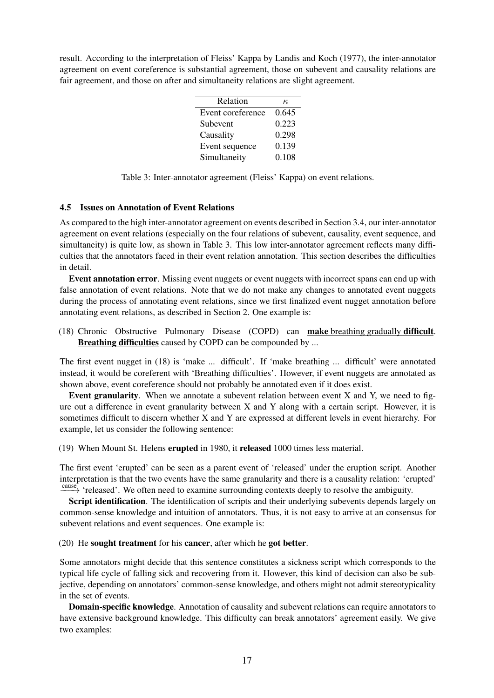result. According to the interpretation of Fleiss' Kappa by Landis and Koch (1977), the inter-annotator agreement on event coreference is substantial agreement, those on subevent and causality relations are fair agreement, and those on after and simultaneity relations are slight agreement.

| Relation          | к.    |
|-------------------|-------|
| Event coreference | 0.645 |
| Subevent          | 0.223 |
| Causality         | 0.298 |
| Event sequence    | 0.139 |
| Simultaneity      | 0.108 |

Table 3: Inter-annotator agreement (Fleiss' Kappa) on event relations.

## 4.5 Issues on Annotation of Event Relations

As compared to the high inter-annotator agreement on events described in Section 3.4, our inter-annotator agreement on event relations (especially on the four relations of subevent, causality, event sequence, and simultaneity) is quite low, as shown in Table 3. This low inter-annotator agreement reflects many difficulties that the annotators faced in their event relation annotation. This section describes the difficulties in detail.

Event annotation error. Missing event nuggets or event nuggets with incorrect spans can end up with false annotation of event relations. Note that we do not make any changes to annotated event nuggets during the process of annotating event relations, since we first finalized event nugget annotation before annotating event relations, as described in Section 2. One example is:

(18) Chronic Obstructive Pulmonary Disease (COPD) can make breathing gradually difficult. Breathing difficulties caused by COPD can be compounded by ...

The first event nugget in (18) is 'make ... difficult'. If 'make breathing ... difficult' were annotated instead, it would be coreferent with 'Breathing difficulties'. However, if event nuggets are annotated as shown above, event coreference should not probably be annotated even if it does exist.

Event granularity. When we annotate a subevent relation between event X and Y, we need to figure out a difference in event granularity between X and Y along with a certain script. However, it is sometimes difficult to discern whether X and Y are expressed at different levels in event hierarchy. For example, let us consider the following sentence:

(19) When Mount St. Helens erupted in 1980, it released 1000 times less material.

The first event 'erupted' can be seen as a parent event of 'released' under the eruption script. Another interpretation is that the two events have the same granularity and there is a causality relation: 'erupted' cause, 'released'. We often need to examine surrounding contexts deeply to resolve the ambiguity.

Script identification. The identification of scripts and their underlying subevents depends largely on common-sense knowledge and intuition of annotators. Thus, it is not easy to arrive at an consensus for subevent relations and event sequences. One example is:

(20) He sought treatment for his cancer, after which he got better.

Some annotators might decide that this sentence constitutes a sickness script which corresponds to the typical life cycle of falling sick and recovering from it. However, this kind of decision can also be subjective, depending on annotators' common-sense knowledge, and others might not admit stereotypicality in the set of events.

Domain-specific knowledge. Annotation of causality and subevent relations can require annotators to have extensive background knowledge. This difficulty can break annotators' agreement easily. We give two examples: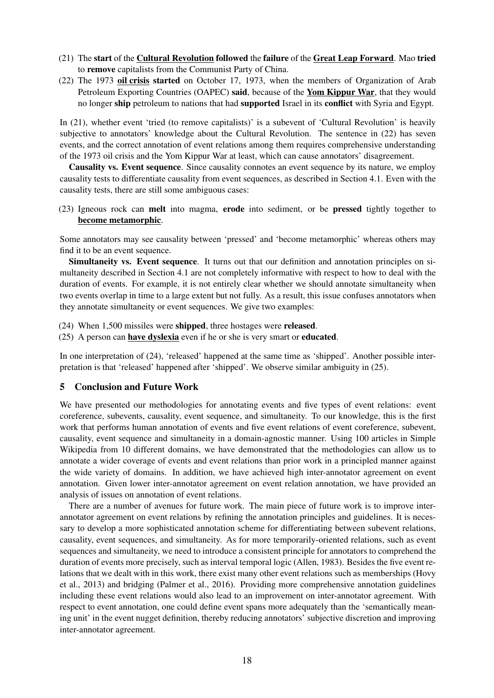- (21) The start of the Cultural Revolution followed the failure of the Great Leap Forward. Mao tried to remove capitalists from the Communist Party of China.
- (22) The 1973 oil crisis started on October 17, 1973, when the members of Organization of Arab Petroleum Exporting Countries (OAPEC) said, because of the Yom Kippur War, that they would no longer ship petroleum to nations that had supported Israel in its conflict with Syria and Egypt.

In (21), whether event 'tried (to remove capitalists)' is a subevent of 'Cultural Revolution' is heavily subjective to annotators' knowledge about the Cultural Revolution. The sentence in (22) has seven events, and the correct annotation of event relations among them requires comprehensive understanding of the 1973 oil crisis and the Yom Kippur War at least, which can cause annotators' disagreement.

Causality vs. Event sequence. Since causality connotes an event sequence by its nature, we employ causality tests to differentiate causality from event sequences, as described in Section 4.1. Even with the causality tests, there are still some ambiguous cases:

(23) Igneous rock can melt into magma, erode into sediment, or be pressed tightly together to become metamorphic.

Some annotators may see causality between 'pressed' and 'become metamorphic' whereas others may find it to be an event sequence.

Simultaneity vs. Event sequence. It turns out that our definition and annotation principles on simultaneity described in Section 4.1 are not completely informative with respect to how to deal with the duration of events. For example, it is not entirely clear whether we should annotate simultaneity when two events overlap in time to a large extent but not fully. As a result, this issue confuses annotators when they annotate simultaneity or event sequences. We give two examples:

(24) When 1,500 missiles were shipped, three hostages were released.

(25) A person can have dyslexia even if he or she is very smart or educated.

In one interpretation of (24), 'released' happened at the same time as 'shipped'. Another possible interpretation is that 'released' happened after 'shipped'. We observe similar ambiguity in (25).

## 5 Conclusion and Future Work

We have presented our methodologies for annotating events and five types of event relations: event coreference, subevents, causality, event sequence, and simultaneity. To our knowledge, this is the first work that performs human annotation of events and five event relations of event coreference, subevent, causality, event sequence and simultaneity in a domain-agnostic manner. Using 100 articles in Simple Wikipedia from 10 different domains, we have demonstrated that the methodologies can allow us to annotate a wider coverage of events and event relations than prior work in a principled manner against the wide variety of domains. In addition, we have achieved high inter-annotator agreement on event annotation. Given lower inter-annotator agreement on event relation annotation, we have provided an analysis of issues on annotation of event relations.

There are a number of avenues for future work. The main piece of future work is to improve interannotator agreement on event relations by refining the annotation principles and guidelines. It is necessary to develop a more sophisticated annotation scheme for differentiating between subevent relations, causality, event sequences, and simultaneity. As for more temporarily-oriented relations, such as event sequences and simultaneity, we need to introduce a consistent principle for annotators to comprehend the duration of events more precisely, such as interval temporal logic (Allen, 1983). Besides the five event relations that we dealt with in this work, there exist many other event relations such as memberships (Hovy et al., 2013) and bridging (Palmer et al., 2016). Providing more comprehensive annotation guidelines including these event relations would also lead to an improvement on inter-annotator agreement. With respect to event annotation, one could define event spans more adequately than the 'semantically meaning unit' in the event nugget definition, thereby reducing annotators' subjective discretion and improving inter-annotator agreement.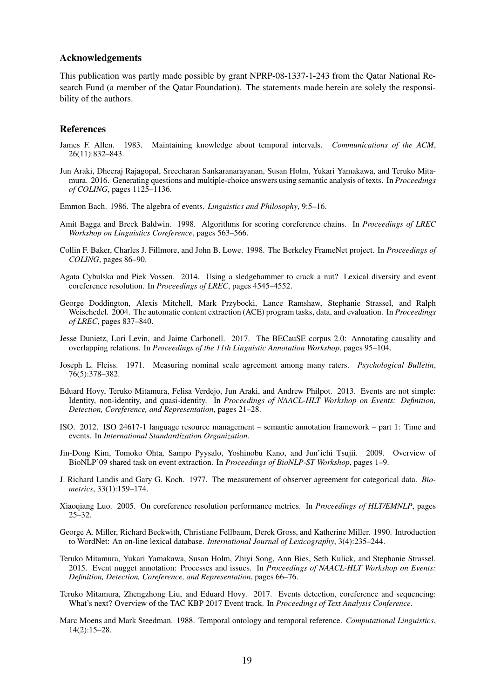### Acknowledgements

This publication was partly made possible by grant NPRP-08-1337-1-243 from the Qatar National Research Fund (a member of the Qatar Foundation). The statements made herein are solely the responsibility of the authors.

#### References

- James F. Allen. 1983. Maintaining knowledge about temporal intervals. *Communications of the ACM*, 26(11):832–843.
- Jun Araki, Dheeraj Rajagopal, Sreecharan Sankaranarayanan, Susan Holm, Yukari Yamakawa, and Teruko Mitamura. 2016. Generating questions and multiple-choice answers using semantic analysis of texts. In *Proceedings of COLING*, pages 1125–1136.
- Emmon Bach. 1986. The algebra of events. *Linguistics and Philosophy*, 9:5–16.
- Amit Bagga and Breck Baldwin. 1998. Algorithms for scoring coreference chains. In *Proceedings of LREC Workshop on Linguistics Coreference*, pages 563–566.
- Collin F. Baker, Charles J. Fillmore, and John B. Lowe. 1998. The Berkeley FrameNet project. In *Proceedings of COLING*, pages 86–90.
- Agata Cybulska and Piek Vossen. 2014. Using a sledgehammer to crack a nut? Lexical diversity and event coreference resolution. In *Proceedings of LREC*, pages 4545–4552.
- George Doddington, Alexis Mitchell, Mark Przybocki, Lance Ramshaw, Stephanie Strassel, and Ralph Weischedel. 2004. The automatic content extraction (ACE) program tasks, data, and evaluation. In *Proceedings of LREC*, pages 837–840.
- Jesse Dunietz, Lori Levin, and Jaime Carbonell. 2017. The BECauSE corpus 2.0: Annotating causality and overlapping relations. In *Proceedings of the 11th Linguistic Annotation Workshop*, pages 95–104.
- Joseph L. Fleiss. 1971. Measuring nominal scale agreement among many raters. *Psychological Bulletin*, 76(5):378–382.
- Eduard Hovy, Teruko Mitamura, Felisa Verdejo, Jun Araki, and Andrew Philpot. 2013. Events are not simple: Identity, non-identity, and quasi-identity. In *Proceedings of NAACL-HLT Workshop on Events: Definition, Detection, Coreference, and Representation*, pages 21–28.
- ISO. 2012. ISO 24617-1 language resource management semantic annotation framework part 1: Time and events. In *International Standardization Organization*.
- Jin-Dong Kim, Tomoko Ohta, Sampo Pyysalo, Yoshinobu Kano, and Jun'ichi Tsujii. 2009. Overview of BioNLP'09 shared task on event extraction. In *Proceedings of BioNLP-ST Workshop*, pages 1–9.
- J. Richard Landis and Gary G. Koch. 1977. The measurement of observer agreement for categorical data. *Biometrics*, 33(1):159–174.
- Xiaoqiang Luo. 2005. On coreference resolution performance metrics. In *Proceedings of HLT/EMNLP*, pages  $25-32.$
- George A. Miller, Richard Beckwith, Christiane Fellbaum, Derek Gross, and Katherine Miller. 1990. Introduction to WordNet: An on-line lexical database. *International Journal of Lexicography*, 3(4):235–244.
- Teruko Mitamura, Yukari Yamakawa, Susan Holm, Zhiyi Song, Ann Bies, Seth Kulick, and Stephanie Strassel. 2015. Event nugget annotation: Processes and issues. In *Proceedings of NAACL-HLT Workshop on Events: Definition, Detection, Coreference, and Representation*, pages 66–76.
- Teruko Mitamura, Zhengzhong Liu, and Eduard Hovy. 2017. Events detection, coreference and sequencing: What's next? Overview of the TAC KBP 2017 Event track. In *Proceedings of Text Analysis Conference*.
- Marc Moens and Mark Steedman. 1988. Temporal ontology and temporal reference. *Computational Linguistics*, 14(2):15–28.